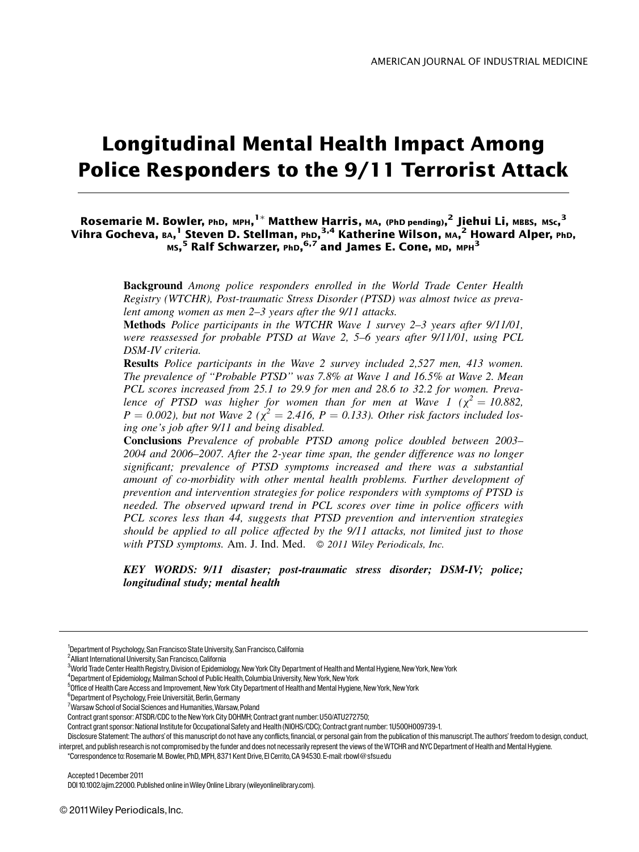# Longitudinal Mental Health Impact Among Police Responders to the 9/11 Terrorist Attack

## $\,$ Rosemarie M. Bowler, <code>phD, MPH, $^{1*}$ Matthew Harris,</code> <code>mA, (PhD</code> pending), $^{2}$  Jie<code>hui Li,</code> <code>mbBs,</code> <code>msc,</code>  $^{3}$ Vihra Gocheva,  $_{\rm BA}$ <sup>1</sup> Steven D. Stellman, թһр, $^{3,4}$  Katherine Wilson, мѧ, $^2$  Howard Alper, թһр, мs,<sup>5</sup> Ralf Schwarzer, <sub>PhD,</sub><sup>6,7</sup> and James E. Cone, м**p, м**рн<sup>3</sup>

**Background** Among police responders enrolled in the World Trade Center Health Registry (WTCHR), Post-traumatic Stress Disorder (PTSD) was almost twice as prevalent among women as men 2–3 years after the 9/11 attacks.

Methods Police participants in the WTCHR Wave 1 survey 2-3 years after 9/11/01, were reassessed for probable PTSD at Wave 2, 5–6 years after 9/11/01, using PCL DSM-IV criteria.

Results Police participants in the Wave 2 survey included 2,527 men, 413 women. The prevalence of ''Probable PTSD'' was 7.8% at Wave 1 and 16.5% at Wave 2. Mean PCL scores increased from 25.1 to 29.9 for men and 28.6 to 32.2 for women. Prevalence of PTSD was higher for women than for men at Wave 1 ( $\chi^2 = 10.882$ ,  $P = 0.002$ ), but not Wave 2 ( $\chi^2 = 2.416$ ,  $P = 0.133$ ). Other risk factors included losing one's job after 9/11 and being disabled.

Conclusions Prevalence of probable PTSD among police doubled between 2003– 2004 and 2006–2007. After the 2-year time span, the gender difference was no longer significant; prevalence of PTSD symptoms increased and there was a substantial amount of co-morbidity with other mental health problems. Further development of prevention and intervention strategies for police responders with symptoms of PTSD is needed. The observed upward trend in PCL scores over time in police officers with PCL scores less than 44, suggests that PTSD prevention and intervention strategies should be applied to all police affected by the 9/11 attacks, not limited just to those with PTSD symptoms. Am. J. Ind. Med.  $\circ$  2011 Wiley Periodicals, Inc.

KEY WORDS: 9/11 disaster; post-traumatic stress disorder; DSM-IV; police; longitudinal study; mental health

2 Alliant International University, San Francisco,California

<sup>4</sup> Department of Epidemiology, Mailman School of Public Health, Columbia University, New York, New York

<sup>5</sup>Office of Health Care Access and Improvement, New York City Department of Health and Mental Hygiene, New York, New York

<sup>6</sup> Department of Psychology, Freie Universität, Berlin, Germany

\*Correspondenceto: Rosemarie M. Bowler,PhD,MPH, 8371Kent Drive,El Cerrito,CA 94530. E-mail: rbowl@sfsu.edu

<sup>&</sup>lt;sup>1</sup>Department of Psychology, San Francisco State University, San Francisco, California

<sup>&</sup>lt;sup>3</sup>World Trade Center Health Registry, Division of Epidemiology, New York City Department of Health and Mental Hygiene, New York, New York

<sup>&</sup>lt;sup>7</sup>Warsaw School of Social Sciences and Humanities, Warsaw, Poland

Contract grant sponsor: ATSDR/CDC tothe NewYork City DOHMH; Contract grant number:U50/ATU272750;

Contract grant sponsor: National Institute for Occupational Safety and Health (NIOHS/CDC); Contract grant number: 1U50OH009739-1.

Disclosure Statement: The authors' of this manuscript do not have any conflicts, financial, or personal gain from the publication of this manuscript. The authors' freedom to design, conduct, interpret, and publish research is not compromised by thefunder and does not necessarily represent the views of theWTCHR and NYC Department of Health and Mental Hygiene.

Accepted1December 2011

DOI10.1002/ajim.22000. Published online in Wiley Online Library (wileyonlinelibrary.com).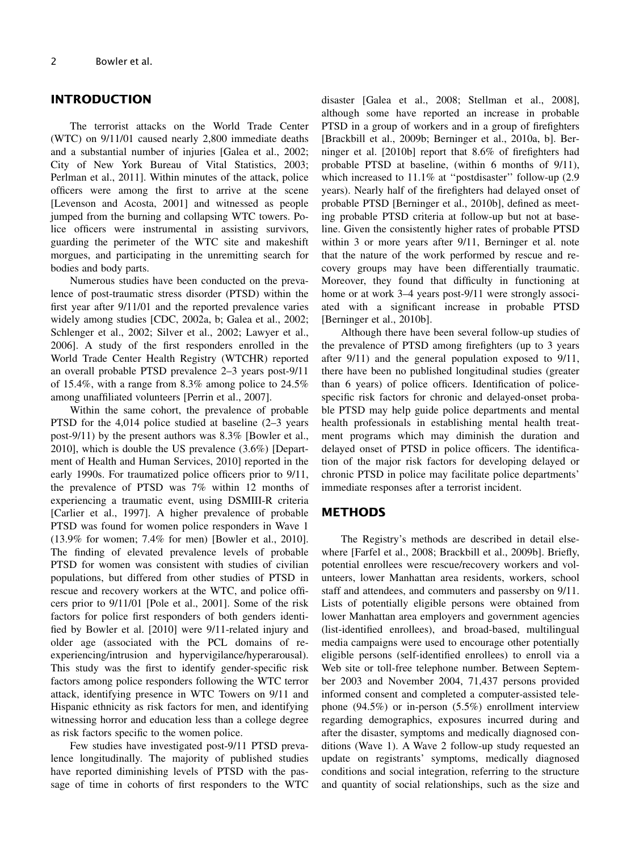## INTRODUCTION

The terrorist attacks on the World Trade Center (WTC) on 9/11/01 caused nearly 2,800 immediate deaths and a substantial number of injuries [Galea et al., 2002; City of New York Bureau of Vital Statistics, 2003; Perlman et al., 2011]. Within minutes of the attack, police officers were among the first to arrive at the scene [Levenson and Acosta, 2001] and witnessed as people jumped from the burning and collapsing WTC towers. Police officers were instrumental in assisting survivors, guarding the perimeter of the WTC site and makeshift morgues, and participating in the unremitting search for bodies and body parts.

Numerous studies have been conducted on the prevalence of post-traumatic stress disorder (PTSD) within the first year after 9/11/01 and the reported prevalence varies widely among studies [CDC, 2002a, b; Galea et al., 2002; Schlenger et al., 2002; Silver et al., 2002; Lawyer et al., 2006]. A study of the first responders enrolled in the World Trade Center Health Registry (WTCHR) reported an overall probable PTSD prevalence 2–3 years post-9/11 of 15.4%, with a range from 8.3% among police to 24.5% among unaffiliated volunteers [Perrin et al., 2007].

Within the same cohort, the prevalence of probable PTSD for the 4,014 police studied at baseline (2–3 years post-9/11) by the present authors was 8.3% [Bowler et al., 2010], which is double the US prevalence (3.6%) [Department of Health and Human Services, 2010] reported in the early 1990s. For traumatized police officers prior to 9/11, the prevalence of PTSD was 7% within 12 months of experiencing a traumatic event, using DSMIII-R criteria [Carlier et al., 1997]. A higher prevalence of probable PTSD was found for women police responders in Wave 1 (13.9% for women; 7.4% for men) [Bowler et al., 2010]. The finding of elevated prevalence levels of probable PTSD for women was consistent with studies of civilian populations, but differed from other studies of PTSD in rescue and recovery workers at the WTC, and police officers prior to 9/11/01 [Pole et al., 2001]. Some of the risk factors for police first responders of both genders identified by Bowler et al. [2010] were 9/11-related injury and older age (associated with the PCL domains of reexperiencing/intrusion and hypervigilance/hyperarousal). This study was the first to identify gender-specific risk factors among police responders following the WTC terror attack, identifying presence in WTC Towers on 9/11 and Hispanic ethnicity as risk factors for men, and identifying witnessing horror and education less than a college degree as risk factors specific to the women police.

Few studies have investigated post-9/11 PTSD prevalence longitudinally. The majority of published studies have reported diminishing levels of PTSD with the passage of time in cohorts of first responders to the WTC disaster [Galea et al., 2008; Stellman et al., 2008], although some have reported an increase in probable PTSD in a group of workers and in a group of firefighters [Brackbill et al., 2009b; Berninger et al., 2010a, b]. Berninger et al. [2010b] report that 8.6% of firefighters had probable PTSD at baseline, (within 6 months of 9/11), which increased to 11.1% at "postdisaster" follow-up (2.9 years). Nearly half of the firefighters had delayed onset of probable PTSD [Berninger et al., 2010b], defined as meeting probable PTSD criteria at follow-up but not at baseline. Given the consistently higher rates of probable PTSD within 3 or more years after 9/11, Berninger et al. note that the nature of the work performed by rescue and recovery groups may have been differentially traumatic. Moreover, they found that difficulty in functioning at home or at work 3–4 years post-9/11 were strongly associated with a significant increase in probable PTSD [Berninger et al., 2010b].

Although there have been several follow-up studies of the prevalence of PTSD among firefighters (up to 3 years after 9/11) and the general population exposed to 9/11, there have been no published longitudinal studies (greater than 6 years) of police officers. Identification of policespecific risk factors for chronic and delayed-onset probable PTSD may help guide police departments and mental health professionals in establishing mental health treatment programs which may diminish the duration and delayed onset of PTSD in police officers. The identification of the major risk factors for developing delayed or chronic PTSD in police may facilitate police departments' immediate responses after a terrorist incident.

#### METHODS

The Registry's methods are described in detail elsewhere [Farfel et al., 2008; Brackbill et al., 2009b]. Briefly, potential enrollees were rescue/recovery workers and volunteers, lower Manhattan area residents, workers, school staff and attendees, and commuters and passersby on 9/11. Lists of potentially eligible persons were obtained from lower Manhattan area employers and government agencies (list-identified enrollees), and broad-based, multilingual media campaigns were used to encourage other potentially eligible persons (self-identified enrollees) to enroll via a Web site or toll-free telephone number. Between September 2003 and November 2004, 71,437 persons provided informed consent and completed a computer-assisted telephone (94.5%) or in-person (5.5%) enrollment interview regarding demographics, exposures incurred during and after the disaster, symptoms and medically diagnosed conditions (Wave 1). A Wave 2 follow-up study requested an update on registrants' symptoms, medically diagnosed conditions and social integration, referring to the structure and quantity of social relationships, such as the size and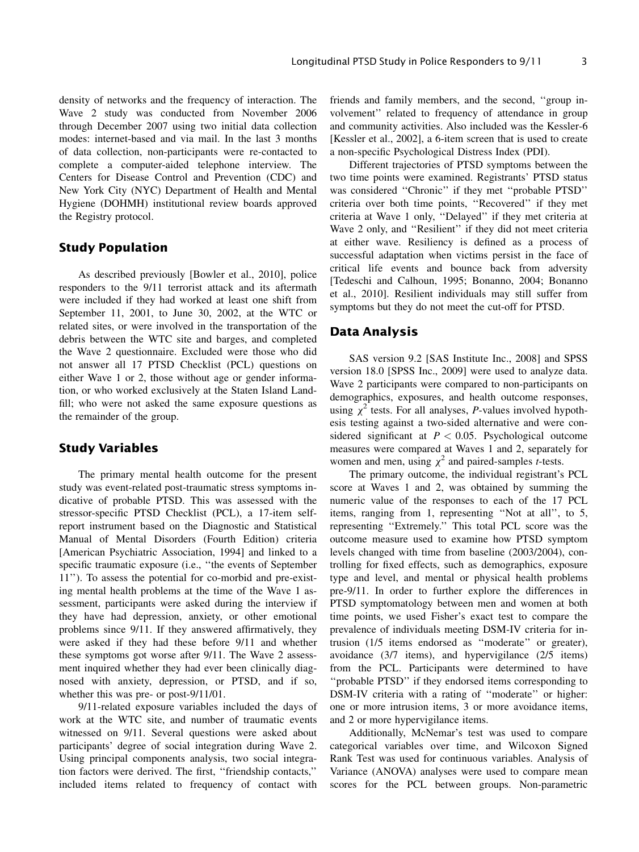density of networks and the frequency of interaction. The Wave 2 study was conducted from November 2006 through December 2007 using two initial data collection modes: internet-based and via mail. In the last 3 months of data collection, non-participants were re-contacted to complete a computer-aided telephone interview. The Centers for Disease Control and Prevention (CDC) and New York City (NYC) Department of Health and Mental Hygiene (DOHMH) institutional review boards approved the Registry protocol.

#### Study Population

As described previously [Bowler et al., 2010], police responders to the 9/11 terrorist attack and its aftermath were included if they had worked at least one shift from September 11, 2001, to June 30, 2002, at the WTC or related sites, or were involved in the transportation of the debris between the WTC site and barges, and completed the Wave 2 questionnaire. Excluded were those who did not answer all 17 PTSD Checklist (PCL) questions on either Wave 1 or 2, those without age or gender information, or who worked exclusively at the Staten Island Landfill; who were not asked the same exposure questions as the remainder of the group.

## Study Variables

The primary mental health outcome for the present study was event-related post-traumatic stress symptoms indicative of probable PTSD. This was assessed with the stressor-specific PTSD Checklist (PCL), a 17-item selfreport instrument based on the Diagnostic and Statistical Manual of Mental Disorders (Fourth Edition) criteria [American Psychiatric Association, 1994] and linked to a specific traumatic exposure (i.e., ''the events of September 11''). To assess the potential for co-morbid and pre-existing mental health problems at the time of the Wave 1 assessment, participants were asked during the interview if they have had depression, anxiety, or other emotional problems since 9/11. If they answered affirmatively, they were asked if they had these before 9/11 and whether these symptoms got worse after 9/11. The Wave 2 assessment inquired whether they had ever been clinically diagnosed with anxiety, depression, or PTSD, and if so, whether this was pre- or post-9/11/01.

9/11-related exposure variables included the days of work at the WTC site, and number of traumatic events witnessed on 9/11. Several questions were asked about participants' degree of social integration during Wave 2. Using principal components analysis, two social integration factors were derived. The first, ''friendship contacts,'' included items related to frequency of contact with friends and family members, and the second, ''group involvement'' related to frequency of attendance in group and community activities. Also included was the Kessler-6 [Kessler et al., 2002], a 6-item screen that is used to create a non-specific Psychological Distress Index (PDI).

Different trajectories of PTSD symptoms between the two time points were examined. Registrants' PTSD status was considered ''Chronic'' if they met ''probable PTSD'' criteria over both time points, ''Recovered'' if they met criteria at Wave 1 only, ''Delayed'' if they met criteria at Wave 2 only, and ''Resilient'' if they did not meet criteria at either wave. Resiliency is defined as a process of successful adaptation when victims persist in the face of critical life events and bounce back from adversity [Tedeschi and Calhoun, 1995; Bonanno, 2004; Bonanno et al., 2010]. Resilient individuals may still suffer from symptoms but they do not meet the cut-off for PTSD.

#### Data Analysis

SAS version 9.2 [SAS Institute Inc., 2008] and SPSS version 18.0 [SPSS Inc., 2009] were used to analyze data. Wave 2 participants were compared to non-participants on demographics, exposures, and health outcome responses, using  $\chi^2$  tests. For all analyses, *P*-values involved hypothesis testing against a two-sided alternative and were considered significant at  $P < 0.05$ . Psychological outcome measures were compared at Waves 1 and 2, separately for women and men, using  $\chi^2$  and paired-samples *t*-tests.

The primary outcome, the individual registrant's PCL score at Waves 1 and 2, was obtained by summing the numeric value of the responses to each of the 17 PCL items, ranging from 1, representing ''Not at all'', to 5, representing ''Extremely.'' This total PCL score was the outcome measure used to examine how PTSD symptom levels changed with time from baseline (2003/2004), controlling for fixed effects, such as demographics, exposure type and level, and mental or physical health problems pre-9/11. In order to further explore the differences in PTSD symptomatology between men and women at both time points, we used Fisher's exact test to compare the prevalence of individuals meeting DSM-IV criteria for intrusion (1/5 items endorsed as ''moderate'' or greater), avoidance (3/7 items), and hypervigilance (2/5 items) from the PCL. Participants were determined to have ''probable PTSD'' if they endorsed items corresponding to DSM-IV criteria with a rating of ''moderate'' or higher: one or more intrusion items, 3 or more avoidance items, and 2 or more hypervigilance items.

Additionally, McNemar's test was used to compare categorical variables over time, and Wilcoxon Signed Rank Test was used for continuous variables. Analysis of Variance (ANOVA) analyses were used to compare mean scores for the PCL between groups. Non-parametric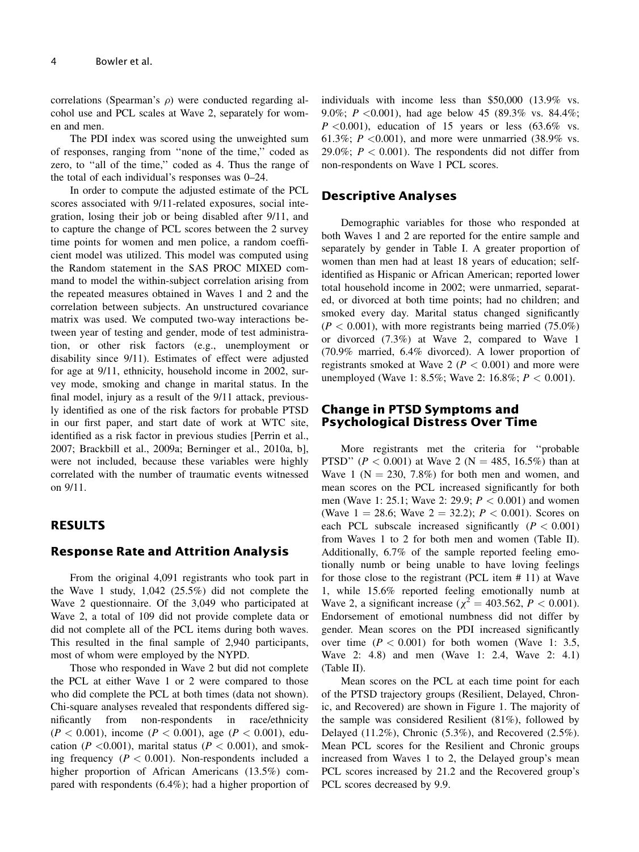correlations (Spearman's  $\rho$ ) were conducted regarding alcohol use and PCL scales at Wave 2, separately for women and men.

The PDI index was scored using the unweighted sum of responses, ranging from ''none of the time,'' coded as zero, to ''all of the time,'' coded as 4. Thus the range of the total of each individual's responses was 0–24.

In order to compute the adjusted estimate of the PCL scores associated with 9/11-related exposures, social integration, losing their job or being disabled after 9/11, and to capture the change of PCL scores between the 2 survey time points for women and men police, a random coefficient model was utilized. This model was computed using the Random statement in the SAS PROC MIXED command to model the within-subject correlation arising from the repeated measures obtained in Waves 1 and 2 and the correlation between subjects. An unstructured covariance matrix was used. We computed two-way interactions between year of testing and gender, mode of test administration, or other risk factors (e.g., unemployment or disability since 9/11). Estimates of effect were adjusted for age at 9/11, ethnicity, household income in 2002, survey mode, smoking and change in marital status. In the final model, injury as a result of the 9/11 attack, previously identified as one of the risk factors for probable PTSD in our first paper, and start date of work at WTC site, identified as a risk factor in previous studies [Perrin et al., 2007; Brackbill et al., 2009a; Berninger et al., 2010a, b], were not included, because these variables were highly correlated with the number of traumatic events witnessed on 9/11.

## RESULTS

#### Response Rate and Attrition Analysis

From the original 4,091 registrants who took part in the Wave 1 study, 1,042 (25.5%) did not complete the Wave 2 questionnaire. Of the 3,049 who participated at Wave 2, a total of 109 did not provide complete data or did not complete all of the PCL items during both waves. This resulted in the final sample of 2,940 participants, most of whom were employed by the NYPD.

Those who responded in Wave 2 but did not complete the PCL at either Wave 1 or 2 were compared to those who did complete the PCL at both times (data not shown). Chi-square analyses revealed that respondents differed significantly from non-respondents in race/ethnicity  $(P < 0.001)$ , income  $(P < 0.001)$ , age  $(P < 0.001)$ , education (P < 0.001), marital status (P < 0.001), and smoking frequency ( $P < 0.001$ ). Non-respondents included a higher proportion of African Americans (13.5%) compared with respondents (6.4%); had a higher proportion of individuals with income less than \$50,000 (13.9% vs. 9.0%;  $P < 0.001$ ), had age below 45 (89.3% vs. 84.4%;  $P < 0.001$ ), education of 15 years or less (63.6% vs. 61.3%;  $P < 0.001$ ), and more were unmarried (38.9% vs. 29.0%;  $P < 0.001$ ). The respondents did not differ from non-respondents on Wave 1 PCL scores.

#### Descriptive Analyses

Demographic variables for those who responded at both Waves 1 and 2 are reported for the entire sample and separately by gender in Table I. A greater proportion of women than men had at least 18 years of education; selfidentified as Hispanic or African American; reported lower total household income in 2002; were unmarried, separated, or divorced at both time points; had no children; and smoked every day. Marital status changed significantly  $(P < 0.001)$ , with more registrants being married (75.0%) or divorced (7.3%) at Wave 2, compared to Wave 1 (70.9% married, 6.4% divorced). A lower proportion of registrants smoked at Wave 2 ( $P < 0.001$ ) and more were unemployed (Wave 1: 8.5%; Wave 2: 16.8%;  $P < 0.001$ ).

## Change in PTSD Symptoms and Psychological Distress Over Time

More registrants met the criteria for ''probable PTSD'' ( $P < 0.001$ ) at Wave 2 ( $N = 485, 16.5\%$ ) than at Wave 1 ( $N = 230, 7.8\%$ ) for both men and women, and mean scores on the PCL increased significantly for both men (Wave 1: 25.1; Wave 2: 29.9;  $P < 0.001$ ) and women (Wave  $1 = 28.6$ ; Wave  $2 = 32.2$ );  $P < 0.001$ ). Scores on each PCL subscale increased significantly  $(P < 0.001)$ from Waves 1 to 2 for both men and women (Table II). Additionally, 6.7% of the sample reported feeling emotionally numb or being unable to have loving feelings for those close to the registrant (PCL item # 11) at Wave 1, while 15.6% reported feeling emotionally numb at Wave 2, a significant increase ( $\chi^2 = 403.562, P < 0.001$ ). Endorsement of emotional numbness did not differ by gender. Mean scores on the PDI increased significantly over time  $(P < 0.001)$  for both women (Wave 1: 3.5, Wave 2: 4.8) and men (Wave 1: 2.4, Wave 2: 4.1) (Table II).

Mean scores on the PCL at each time point for each of the PTSD trajectory groups (Resilient, Delayed, Chronic, and Recovered) are shown in Figure 1. The majority of the sample was considered Resilient (81%), followed by Delayed (11.2%), Chronic (5.3%), and Recovered (2.5%). Mean PCL scores for the Resilient and Chronic groups increased from Waves 1 to 2, the Delayed group's mean PCL scores increased by 21.2 and the Recovered group's PCL scores decreased by 9.9.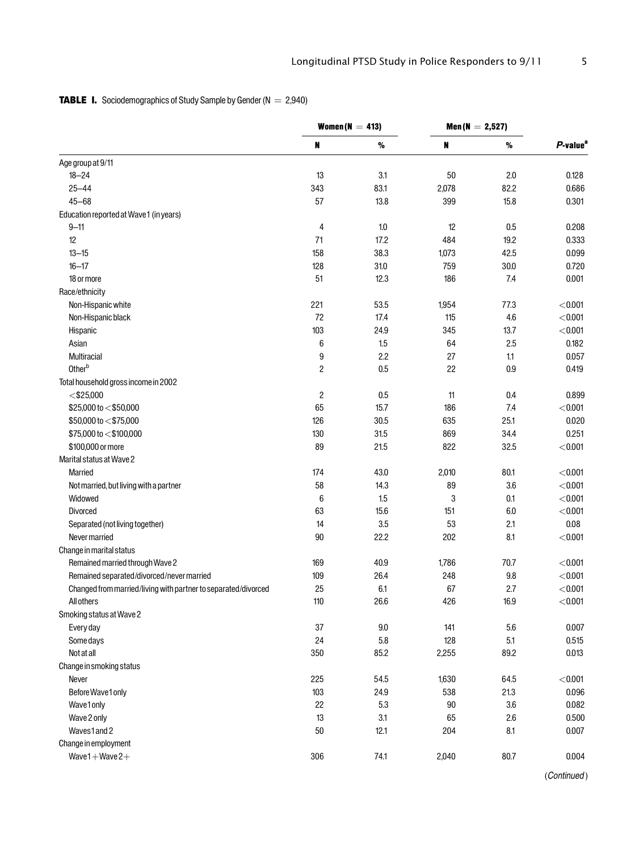| <b>TABLE I.</b> Sociodemographics of Study Sample by Gender ( $N = 2,940$ ) |  |
|-----------------------------------------------------------------------------|--|
|-----------------------------------------------------------------------------|--|

|                                                                |                         | Women ( $N = 413$ ) |       | Men (N = 2,527) |                         |  |
|----------------------------------------------------------------|-------------------------|---------------------|-------|-----------------|-------------------------|--|
|                                                                | N                       | $\%$                | N     | $\%$            | $P$ -value <sup>a</sup> |  |
| Age group at 9/11                                              |                         |                     |       |                 |                         |  |
| $18 - 24$                                                      | 13                      | 3.1                 | 50    | 2.0             | 0.128                   |  |
| $25 - 44$                                                      | 343                     | 83.1                | 2,078 | 82.2            | 0.686                   |  |
| $45 - 68$                                                      | 57                      | 13.8                | 399   | 15.8            | 0.301                   |  |
| Education reported at Wave1 (in years)                         |                         |                     |       |                 |                         |  |
| $9 - 11$                                                       | 4                       | 1.0                 | 12    | 0.5             | 0.208                   |  |
| 12                                                             | 71                      | 17.2                | 484   | 19.2            | 0.333                   |  |
| $13 - 15$                                                      | 158                     | 38.3                | 1,073 | 42.5            | 0.099                   |  |
| $16 - 17$                                                      | 128                     | 31.0                | 759   | 30.0            | 0.720                   |  |
| 18 or more                                                     | 51                      | 12.3                | 186   | 7.4             | 0.001                   |  |
| Race/ethnicity                                                 |                         |                     |       |                 |                         |  |
| Non-Hispanic white                                             | 221                     | 53.5                | 1,954 | 77.3            | < 0.001                 |  |
| Non-Hispanic black                                             | 72                      | 17.4                | 115   | $4.6\,$         | < 0.001                 |  |
| Hispanic                                                       | 103                     | 24.9                | 345   | 13.7            | < 0.001                 |  |
| Asian                                                          | 6                       | 1.5                 | 64    | 2.5             | 0.182                   |  |
| Multiracial                                                    | 9                       | 2.2                 | 27    | 1.1             | 0.057                   |  |
| Other <sup>b</sup>                                             | $\sqrt{2}$              | 0.5                 | 22    | 0.9             | 0.419                   |  |
| Total household gross income in 2002                           |                         |                     |       |                 |                         |  |
| $<$ \$25,000                                                   | $\overline{\mathbf{c}}$ | 0.5                 | 11    | 0.4             | 0.899                   |  |
| \$25,000 to $<$ \$50,000                                       | 65                      | 15.7                | 186   | 7.4             | < 0.001                 |  |
| \$50,000 to <\$75,000                                          | 126                     | 30.5                | 635   | 25.1            | 0.020                   |  |
| $$75,000$ to $<$ \$100,000                                     | 130                     | 31.5                | 869   | 34.4            | 0.251                   |  |
| \$100,000 or more                                              | 89                      | 21.5                | 822   | 32.5            | < 0.001                 |  |
| Marital status at Wave 2                                       |                         |                     |       |                 |                         |  |
| <b>Married</b>                                                 | 174                     | 43.0                | 2,010 | 80.1            | < 0.001                 |  |
| Not married, but living with a partner                         | 58                      | 14.3                | 89    | 3.6             | < 0.001                 |  |
| Widowed                                                        | 6                       | 1.5                 | 3     | 0.1             | < 0.001                 |  |
| Divorced                                                       | 63                      | 15.6                | 151   | 6.0             | < 0.001                 |  |
| Separated (not living together)                                | 14                      | 3.5                 | 53    | 2.1             | 0.08                    |  |
| Never married                                                  | 90                      | 22.2                | 202   | 8.1             | < 0.001                 |  |
| Change in marital status                                       |                         |                     |       |                 |                         |  |
| Remained married through Wave 2                                | 169                     | 40.9                | 1,786 | 70.7            | < 0.001                 |  |
| Remained separated/divorced/never married                      | 109                     | 26.4                | 248   | 9.8             | < 0.001                 |  |
| Changed from married/living with partner to separated/divorced | 25                      | 6.1                 | 67    | 2.7             | < 0.001                 |  |
| Allothers                                                      | 110                     | 26.6                | 426   | 16.9            | < 0.001                 |  |
| Smoking status at Wave 2                                       |                         |                     |       |                 |                         |  |
| Every day                                                      | 37                      | $9.0\,$             | 141   | 5.6             | 0.007                   |  |
| Some days                                                      | 24                      | 5.8                 | 128   | 5.1             | 0.515                   |  |
| Not at all                                                     | 350                     | 85.2                | 2,255 | 89.2            | 0.013                   |  |
| Change in smoking status                                       |                         |                     |       |                 |                         |  |
| Never                                                          | 225                     | 54.5                | 1,630 | 64.5            | < 0.001                 |  |
| Before Wave1 only                                              | 103                     | 24.9                | 538   | 21.3            | 0.096                   |  |
| Wave1 only                                                     | 22                      | 5.3                 | 90    | 3.6             | 0.082                   |  |
| Wave 2 only                                                    | 13                      | 3.1                 | 65    | 2.6             | 0.500                   |  |
| Waves1 and 2                                                   | 50                      | 12.1                | 204   | 8.1             | 0.007                   |  |
| Change in employment                                           |                         |                     |       |                 |                         |  |
| $Wave1 + Wave2 +$                                              | 306                     | 74.1                | 2,040 | 80.7            | 0.004                   |  |

(Continued )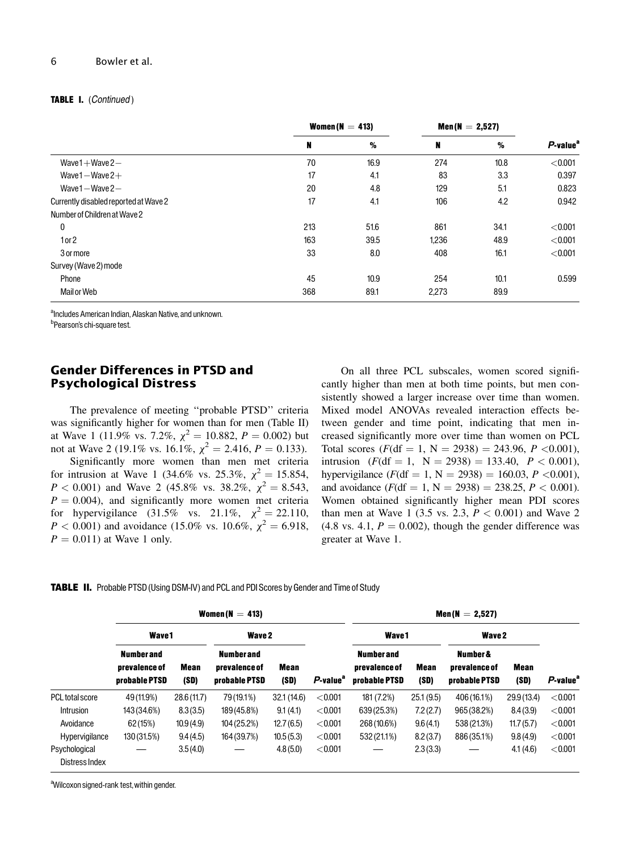#### TABLE I. (Continued)

|                                       | Women ( $N = 413$ ) |      | Men(N = 2,527) |      |                      |  |
|---------------------------------------|---------------------|------|----------------|------|----------------------|--|
|                                       | N                   | $\%$ | N              | $\%$ | P-value <sup>a</sup> |  |
| Wave $1 +$ Wave $2 -$                 | 70                  | 16.9 | 274            | 10.8 | < 0.001              |  |
| Wave1 $-W$ ave2 $+$                   | 17                  | 4.1  | 83             | 3.3  | 0.397                |  |
| Wave $1 -$ Wave $2 -$                 | 20                  | 4.8  | 129            | 5.1  | 0.823                |  |
| Currently disabled reported at Wave 2 | 17                  | 4.1  | 106            | 4.2  | 0.942                |  |
| Number of Children at Wave 2          |                     |      |                |      |                      |  |
| 0                                     | 213                 | 51.6 | 861            | 34.1 | < 0.001              |  |
| 1 or 2                                | 163                 | 39.5 | 1,236          | 48.9 | < 0.001              |  |
| 3 or more                             | 33                  | 8.0  | 408            | 16.1 | < 0.001              |  |
| Survey (Wave 2) mode                  |                     |      |                |      |                      |  |
| Phone                                 | 45                  | 10.9 | 254            | 10.1 | 0.599                |  |
| Mail or Web                           | 368                 | 89.1 | 2,273          | 89.9 |                      |  |

<sup>a</sup>Includes American Indian, Alaskan Native, and unknown.

<sup>b</sup>Pearson's chi-square test.

## Gender Differences in PTSD and Psychological Distress

The prevalence of meeting ''probable PTSD'' criteria was significantly higher for women than for men (Table II) at Wave 1 (11.9% vs. 7.2%,  $\chi^2 = 10.882$ ,  $P = 0.002$ ) but not at Wave 2 (19.1% vs. 16.1%,  $\chi^2 = 2.416$ ,  $P = 0.133$ ).

Significantly more women than men met criteria for intrusion at Wave 1 (34.6% vs. 25.3%,  $\chi^2 = 15.854$ ,  $P < 0.001$ ) and Wave 2 (45.8% vs. 38.2%,  $\chi^2 = 8.543$ ,  $P = 0.004$ ), and significantly more women met criteria for hypervigilance (31.5% vs. 21.1%,  $\chi^2 = 22.110$ ,  $P < 0.001$ ) and avoidance (15.0% vs. 10.6%,  $\chi^2 = 6.918$ ,  $P = 0.011$ ) at Wave 1 only.

On all three PCL subscales, women scored significantly higher than men at both time points, but men consistently showed a larger increase over time than women. Mixed model ANOVAs revealed interaction effects between gender and time point, indicating that men increased significantly more over time than women on PCL Total scores  $(F(df = 1, N = 2938) = 243.96, P < 0.001)$ , intrusion  $(F(df = 1, N = 2938) = 133.40, P < 0.001)$ , hypervigilance  $(F(df = 1, N = 2938) = 160.03, P < 0.001)$ , and avoidance  $(F(df = 1, N = 2938) = 238.25, P < 0.001)$ . Women obtained significantly higher mean PDI scores than men at Wave 1 (3.5 vs. 2.3,  $P < 0.001$ ) and Wave 2  $(4.8 \text{ vs. } 4.1, P = 0.002)$ , though the gender difference was greater at Wave 1.

|  |  |  | TABLE II. Probable PTSD (Using DSM-IV) and PCL and PDI Scores by Gender and Time of Study |  |
|--|--|--|-------------------------------------------------------------------------------------------|--|
|--|--|--|-------------------------------------------------------------------------------------------|--|

|                                 |                                                     |              | Women (N $=$ 413)                                   |              | Men (N $= 2,527$ )      |                                                     |              |                                            |              |                         |
|---------------------------------|-----------------------------------------------------|--------------|-----------------------------------------------------|--------------|-------------------------|-----------------------------------------------------|--------------|--------------------------------------------|--------------|-------------------------|
|                                 | Wave1                                               |              | Wave 2                                              |              |                         | Wave1                                               |              | Wave 2                                     |              |                         |
|                                 | <b>Number and</b><br>prevalence of<br>probable PTSD | Mean<br>(SD) | <b>Number and</b><br>prevalence of<br>probable PTSD | Mean<br>(SD) | $P$ -value <sup>a</sup> | <b>Number and</b><br>prevalence of<br>probable PTSD | Mean<br>(SD) | Number &<br>prevalence of<br>probable PTSD | Mean<br>(SD) | $P$ -value <sup>a</sup> |
| <b>PCL total score</b>          | 49 (11.9%)                                          | 28.6(11.7)   | 79 (19.1%)                                          | 32.1(14.6)   | < 0.001                 | 181 (7.2%)                                          | 25.1(9.5)    | 406 (16.1%)                                | 29.9(13.4)   | < 0.001                 |
| Intrusion                       | 143 (34.6%)                                         | 8.3(3.5)     | 189 (45.8%)                                         | 9.1(4.1)     | < 0.001                 | 639 (25.3%)                                         | 7.2(2.7)     | 965 (38.2%)                                | 8.4(3.9)     | < 0.001                 |
| Avoidance                       | 62 (15%)                                            | 10.9(4.9)    | 104 (25.2%)                                         | 12.7(6.5)    | < 0.001                 | 268 (10.6%)                                         | 9.6(4.1)     | 538 (21.3%)                                | 11.7(5.7)    | < 0.001                 |
| Hypervigilance                  | 130 (31.5%)                                         | 9.4(4.5)     | 164 (39.7%)                                         | 10.5(5.3)    | < 0.001                 | 532 (21.1%)                                         | 8.2(3.7)     | 886 (35.1%)                                | 9.8(4.9)     | < 0.001                 |
| Psychological<br>Distress Index |                                                     | 3.5(4.0)     |                                                     | 4.8(5.0)     | < 0.001                 |                                                     | 2.3(3.3)     |                                            | 4.1(4.6)     | < 0.001                 |

<sup>a</sup>Wilcoxon signed-rank test, within gender.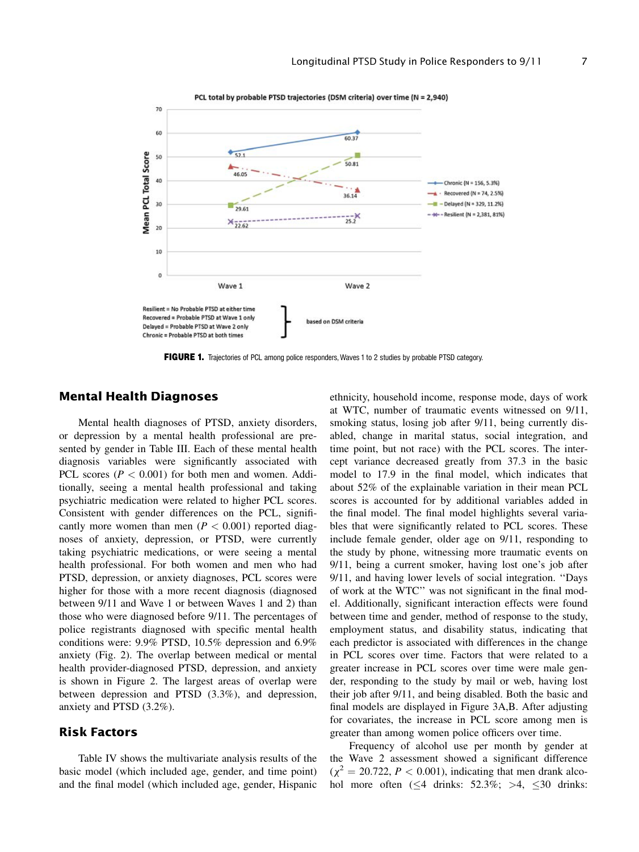

FIGURE 1. Trajectories of PCL among police responders, Waves 1 to 2 studies by probable PTSD category.

#### Mental Health Diagnoses

Mental health diagnoses of PTSD, anxiety disorders, or depression by a mental health professional are presented by gender in Table III. Each of these mental health diagnosis variables were significantly associated with PCL scores ( $P < 0.001$ ) for both men and women. Additionally, seeing a mental health professional and taking psychiatric medication were related to higher PCL scores. Consistent with gender differences on the PCL, significantly more women than men ( $P < 0.001$ ) reported diagnoses of anxiety, depression, or PTSD, were currently taking psychiatric medications, or were seeing a mental health professional. For both women and men who had PTSD, depression, or anxiety diagnoses, PCL scores were higher for those with a more recent diagnosis (diagnosed between 9/11 and Wave 1 or between Waves 1 and 2) than those who were diagnosed before 9/11. The percentages of police registrants diagnosed with specific mental health conditions were: 9.9% PTSD, 10.5% depression and 6.9% anxiety (Fig. 2). The overlap between medical or mental health provider-diagnosed PTSD, depression, and anxiety is shown in Figure 2. The largest areas of overlap were between depression and PTSD (3.3%), and depression, anxiety and PTSD (3.2%).

## Risk Factors

Table IV shows the multivariate analysis results of the basic model (which included age, gender, and time point) and the final model (which included age, gender, Hispanic ethnicity, household income, response mode, days of work at WTC, number of traumatic events witnessed on 9/11, smoking status, losing job after 9/11, being currently disabled, change in marital status, social integration, and time point, but not race) with the PCL scores. The intercept variance decreased greatly from 37.3 in the basic model to 17.9 in the final model, which indicates that about 52% of the explainable variation in their mean PCL scores is accounted for by additional variables added in the final model. The final model highlights several variables that were significantly related to PCL scores. These include female gender, older age on 9/11, responding to the study by phone, witnessing more traumatic events on 9/11, being a current smoker, having lost one's job after 9/11, and having lower levels of social integration. ''Days of work at the WTC'' was not significant in the final model. Additionally, significant interaction effects were found between time and gender, method of response to the study, employment status, and disability status, indicating that each predictor is associated with differences in the change in PCL scores over time. Factors that were related to a greater increase in PCL scores over time were male gender, responding to the study by mail or web, having lost their job after 9/11, and being disabled. Both the basic and final models are displayed in Figure 3A,B. After adjusting for covariates, the increase in PCL score among men is greater than among women police officers over time.

Frequency of alcohol use per month by gender at the Wave 2 assessment showed a significant difference  $(\chi^2 = 20.722, P < 0.001)$ , indicating that men drank alcohol more often  $(\leq 4$  drinks: 52.3%;  $>4$ ,  $\leq 30$  drinks: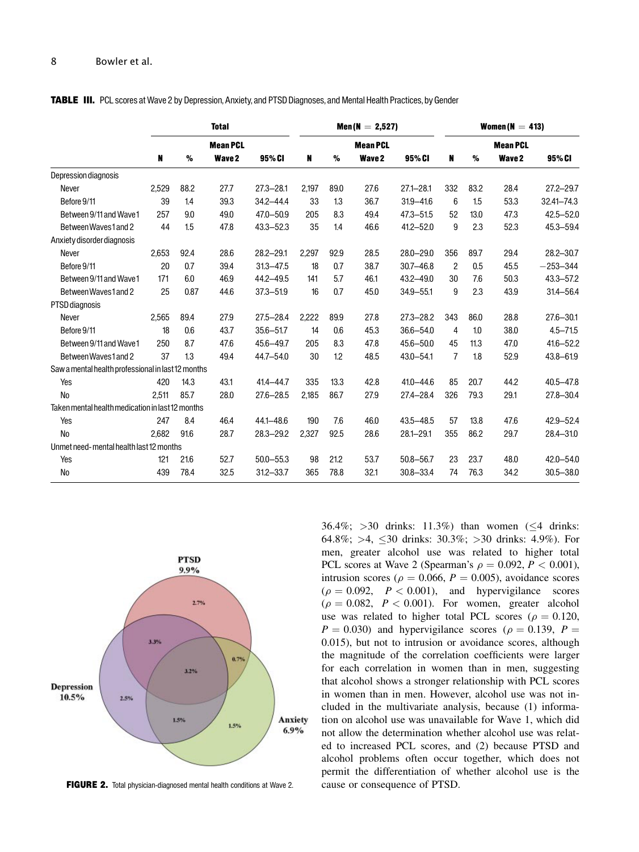|                                                    | <b>Total</b> |      |                 |               |       | $Men(N = 2,527)$ |                 |               |                | Women ( $N = 413$ ) |                 |               |  |
|----------------------------------------------------|--------------|------|-----------------|---------------|-------|------------------|-----------------|---------------|----------------|---------------------|-----------------|---------------|--|
|                                                    |              |      | <b>Mean PCL</b> |               |       |                  | <b>Mean PCL</b> |               |                |                     | <b>Mean PCL</b> |               |  |
|                                                    | N            | %    | Wave 2          | 95% CI        | N     | %                | Wave 2          | 95% CI        | N              | %                   | Wave 2          | 95% CI        |  |
| Depression diagnosis                               |              |      |                 |               |       |                  |                 |               |                |                     |                 |               |  |
| Never                                              | 2.529        | 88.2 | 27.7            | $27.3 - 28.1$ | 2.197 | 89.0             | 27.6            | $27.1 - 28.1$ | 332            | 83.2                | 28.4            | $27.2 - 29.7$ |  |
| Before 9/11                                        | 39           | 1.4  | 39.3            | $34.2 - 44.4$ | 33    | 1.3              | 36.7            | $31.9 - 41.6$ | 6              | 1.5                 | 53.3            | 32.41-74.3    |  |
| Between 9/11 and Wave1                             | 257          | 9.0  | 49.0            | 47.0 - 50.9   | 205   | 8.3              | 49.4            | $47.3 - 51.5$ | 52             | 13.0                | 47.3            | $42.5 - 52.0$ |  |
| Between Waves 1 and 2                              | 44           | 1.5  | 47.8            | $43.3 - 52.3$ | 35    | 1.4              | 46.6            | $41.2 - 52.0$ | 9              | 2.3                 | 52.3            | 45.3-59.4     |  |
| Anxiety disorder diagnosis                         |              |      |                 |               |       |                  |                 |               |                |                     |                 |               |  |
| Never                                              | 2,653        | 92.4 | 28.6            | $28.2 - 29.1$ | 2,297 | 92.9             | 28.5            | $28.0 - 29.0$ | 356            | 89.7                | 29.4            | 28.2-30.7     |  |
| Before 9/11                                        | 20           | 0.7  | 39.4            | $31.3 - 47.5$ | 18    | 0.7              | 38.7            | $30.7 - 46.8$ | 2              | 0.5                 | 45.5            | $-253 - 344$  |  |
| Between 9/11 and Wave1                             | 171          | 6.0  | 46.9            | 44.2-49.5     | 141   | 5.7              | 46.1            | $43.2 - 49.0$ | 30             | 7.6                 | 50.3            | 43.3-57.2     |  |
| Between Waves 1 and 2                              | 25           | 0.87 | 44.6            | $37.3 - 51.9$ | 16    | 0.7              | 45.0            | $34.9 - 55.1$ | 9              | 2.3                 | 43.9            | $31.4 - 56.4$ |  |
| PTSD diagnosis                                     |              |      |                 |               |       |                  |                 |               |                |                     |                 |               |  |
| Never                                              | 2.565        | 89.4 | 27.9            | $27.5 - 28.4$ | 2,222 | 89.9             | 27.8            | $27.3 - 28.2$ | 343            | 86.0                | 28.8            | $27.6 - 30.1$ |  |
| Before 9/11                                        | 18           | 0.6  | 43.7            | $35.6 - 51.7$ | 14    | 0.6              | 45.3            | $36.6 - 54.0$ | 4              | 1.0                 | 38.0            | $4.5 - 71.5$  |  |
| Between 9/11 and Wave1                             | 250          | 8.7  | 47.6            | 45.6-49.7     | 205   | 8.3              | 47.8            | $45.6 - 50.0$ | 45             | 11.3                | 47.0            | $41.6 - 52.2$ |  |
| Between Waves 1 and 2                              | 37           | 1.3  | 49.4            | 44.7-54.0     | 30    | 1.2              | 48.5            | $43.0 - 54.1$ | $\overline{7}$ | 1.8                 | 52.9            | 43.8-61.9     |  |
| Saw a mental health professional in last 12 months |              |      |                 |               |       |                  |                 |               |                |                     |                 |               |  |
| Yes                                                | 420          | 14.3 | 43.1            | $41.4 - 44.7$ | 335   | 13.3             | 42.8            | $41.0 - 44.6$ | 85             | 20.7                | 44.2            | $40.5 - 47.8$ |  |
| No                                                 | 2.511        | 85.7 | 28.0            | $27.6 - 28.5$ | 2,185 | 86.7             | 27.9            | $27.4 - 28.4$ | 326            | 79.3                | 29.1            | $27.8 - 30.4$ |  |
| Taken mental health medication in last 12 months   |              |      |                 |               |       |                  |                 |               |                |                     |                 |               |  |
| Yes                                                | 247          | 8.4  | 46.4            | $44.1 - 48.6$ | 190   | 7.6              | 46.0            | $43.5 - 48.5$ | 57             | 13.8                | 47.6            | 42.9-52.4     |  |
| <b>No</b>                                          | 2.682        | 91.6 | 28.7            | $28.3 - 29.2$ | 2.327 | 92.5             | 28.6            | $28.1 - 29.1$ | 355            | 86.2                | 29.7            | $28.4 - 31.0$ |  |
| Unmet need-mental health last 12 months            |              |      |                 |               |       |                  |                 |               |                |                     |                 |               |  |
| Yes                                                | 121          | 21.6 | 52.7            | $50.0 - 55.3$ | 98    | 21.2             | 53.7            | $50.8 - 56.7$ | 23             | 23.7                | 48.0            | $42.0 - 54.0$ |  |
| No                                                 | 439          | 78.4 | 32.5            | $31.2 - 33.7$ | 365   | 78.8             | 32.1            | $30.8 - 33.4$ | 74             | 76.3                | 34.2            | $30.5 - 38.0$ |  |



FIGURE 2. Total physician-diagnosed mental health conditions at Wave 2. cause or consequence of PTSD.

36.4%; >30 drinks: 11.3%) than women  $(54$  drinks: 64.8%; >4,  $\leq 30$  drinks:  $30.3\%$ ; >30 drinks: 4.9%). For men, greater alcohol use was related to higher total PCL scores at Wave 2 (Spearman's  $\rho = 0.092$ ,  $P < 0.001$ ), intrusion scores ( $\rho = 0.066$ ,  $P = 0.005$ ), avoidance scores  $(\rho = 0.092, P < 0.001)$ , and hypervigilance scores  $(\rho = 0.082, P < 0.001)$ . For women, greater alcohol use was related to higher total PCL scores ( $\rho = 0.120$ ,  $P = 0.030$ ) and hypervigilance scores ( $\rho = 0.139$ ,  $P =$ 0.015), but not to intrusion or avoidance scores, although the magnitude of the correlation coefficients were larger for each correlation in women than in men, suggesting that alcohol shows a stronger relationship with PCL scores in women than in men. However, alcohol use was not included in the multivariate analysis, because (1) information on alcohol use was unavailable for Wave 1, which did not allow the determination whether alcohol use was related to increased PCL scores, and (2) because PTSD and alcohol problems often occur together, which does not permit the differentiation of whether alcohol use is the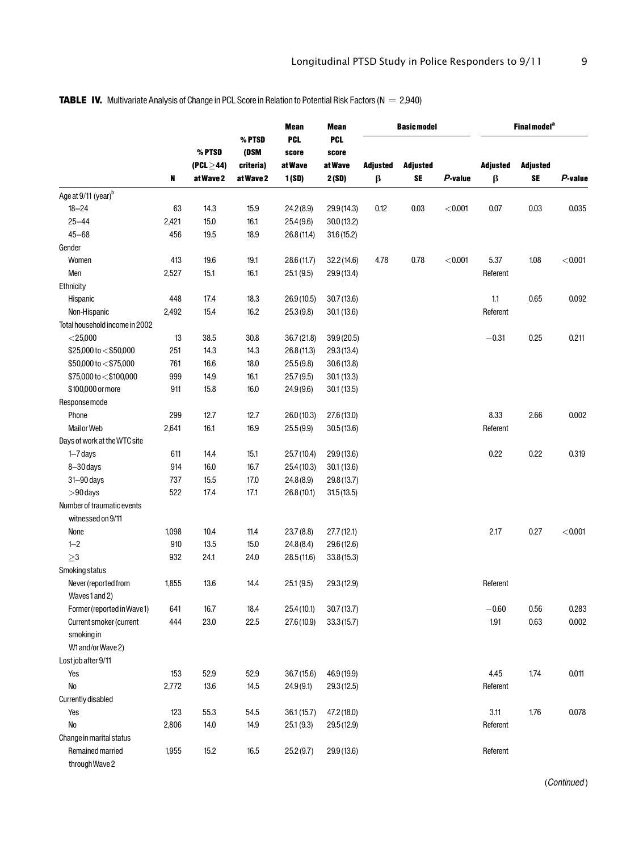| TABLE IV. Multivariate Analysis of Change in PCL Score in Relation to Potential Risk Factors ( $N = 2,940$ ) |  |
|--------------------------------------------------------------------------------------------------------------|--|
|--------------------------------------------------------------------------------------------------------------|--|

|                                       |       |                              |                        | <b>Mean</b>      | <b>Mean</b>         |                      | <b>Basic model</b>           |         |                      | Final model <sup>a</sup> |         |
|---------------------------------------|-------|------------------------------|------------------------|------------------|---------------------|----------------------|------------------------------|---------|----------------------|--------------------------|---------|
|                                       |       |                              | % PTSD                 | % PTSD<br>(DSM   | <b>PCL</b><br>score | <b>PCL</b><br>score  |                              |         |                      |                          |         |
|                                       | N     | (PCL $\geq$ 44)<br>at Wave 2 | criteria)<br>at Wave 2 | at Wave<br>1(SD) | at Wave<br>2(SD)    | <b>Adjusted</b><br>β | <b>Adjusted</b><br><b>SE</b> | P-value | <b>Adjusted</b><br>β | <b>Adjusted</b><br>SE    | P-value |
|                                       |       |                              |                        |                  |                     |                      |                              |         |                      |                          |         |
| Age at 9/11 (year) <sup>b</sup>       |       |                              |                        |                  |                     |                      |                              |         |                      |                          |         |
| $18 - 24$                             | 63    | 14.3                         | 15.9                   | 24.2(8.9)        | 29.9(14.3)          | 0.12                 | 0.03                         | < 0.001 | 0.07                 | 0.03                     | 0.035   |
| $25 - 44$                             | 2,421 | 15.0                         | 16.1                   | 25.4(9.6)        | 30.0(13.2)          |                      |                              |         |                      |                          |         |
| $45 - 68$                             | 456   | 19.5                         | 18.9                   | 26.8(11.4)       | 31.6(15.2)          |                      |                              |         |                      |                          |         |
| Gender                                |       |                              |                        |                  |                     |                      |                              |         |                      |                          |         |
| Women                                 | 413   | 19.6                         | 19.1                   | 28.6(11.7)       | 32.2(14.6)          | 4.78                 | 0.78                         | < 0.001 | 5.37                 | 1.08                     | < 0.001 |
| Men                                   | 2,527 | 15.1                         | 16.1                   | 25.1(9.5)        | 29.9 (13.4)         |                      |                              |         | Referent             |                          |         |
| Ethnicity                             |       |                              |                        |                  |                     |                      |                              |         |                      |                          |         |
| Hispanic                              | 448   | 17.4                         | 18.3                   | 26.9(10.5)       | 30.7(13.6)          |                      |                              |         | 1.1                  | 0.65                     | 0.092   |
| Non-Hispanic                          | 2,492 | 15.4                         | 16.2                   | 25.3(9.8)        | 30.1 (13.6)         |                      |                              |         | Referent             |                          |         |
| Total household income in 2002        |       |                              |                        |                  |                     |                      |                              |         |                      |                          |         |
| $<$ 25,000                            | 13    | 38.5                         | 30.8                   | 36.7(21.8)       | 39.9 (20.5)         |                      |                              |         | $-0.31$              | 0.25                     | 0.211   |
| $$25,000$ to $<$ \$50,000             | 251   | 14.3                         | 14.3                   | 26.8(11.3)       | 29.3(13.4)          |                      |                              |         |                      |                          |         |
| \$50,000 to <\$75,000                 | 761   | 16.6                         | 18.0                   | 25.5(9.8)        | 30.6(13.8)          |                      |                              |         |                      |                          |         |
| \$75,000 to <\$100,000                | 999   | 14.9                         | 16.1                   | 25.7(9.5)        | 30.1(13.3)          |                      |                              |         |                      |                          |         |
| \$100,000 or more                     | 911   | 15.8                         | 16.0                   | 24.9(9.6)        | 30.1(13.5)          |                      |                              |         |                      |                          |         |
| Response mode                         |       |                              |                        |                  |                     |                      |                              |         |                      |                          |         |
| Phone                                 | 299   | 12.7                         | 12.7                   | 26.0(10.3)       | 27.6(13.0)          |                      |                              |         | 8.33                 | 2.66                     | 0.002   |
| Mail or Web                           | 2,641 | 16.1                         | 16.9                   | 25.5(9.9)        | 30.5(13.6)          |                      |                              |         | Referent             |                          |         |
| Days of work at the WTC site          |       |                              |                        |                  |                     |                      |                              |         |                      |                          |         |
| $1 - 7$ days                          | 611   | 14.4                         | 15.1                   | 25.7(10.4)       | 29.9 (13.6)         |                      |                              |         | 0.22                 | 0.22                     | 0.319   |
| $8 - 30$ days                         | 914   | 16.0                         | 16.7                   | 25.4(10.3)       | 30.1(13.6)          |                      |                              |         |                      |                          |         |
| $31 - 90$ days                        | 737   | 15.5                         | 17.0                   | 24.8(8.9)        | 29.8 (13.7)         |                      |                              |         |                      |                          |         |
| $>90$ days                            | 522   | 17.4                         | 17.1                   | 26.8(10.1)       | 31.5(13.5)          |                      |                              |         |                      |                          |         |
| Number of traumatic events            |       |                              |                        |                  |                     |                      |                              |         |                      |                          |         |
| witnessed on 9/11                     |       |                              |                        |                  |                     |                      |                              |         |                      |                          |         |
| None                                  | 1,098 | 10.4                         | 11.4                   | 23.7(8.8)        | 27.7(12.1)          |                      |                              |         | 2.17                 | 0.27                     | < 0.001 |
| $1 - 2$                               | 910   | 13.5                         | 15.0                   | 24.8(8.4)        | 29.6 (12.6)         |                      |                              |         |                      |                          |         |
| $\geq$ 3                              | 932   | 24.1                         | 24.0                   | 28.5(11.6)       | 33.8(15.3)          |                      |                              |         |                      |                          |         |
| Smoking status                        |       |                              |                        |                  |                     |                      |                              |         |                      |                          |         |
| Never (reported from<br>Waves1 and 2) | 1,855 | 13.6                         | 14.4                   | 25.1(9.5)        | 29.3 (12.9)         |                      |                              |         | Referent             |                          |         |
| Former (reported in Wave1)            | 641   | 16.7                         | 18.4                   | 25.4(10.1)       | 30.7(13.7)          |                      |                              |         | $-0.60$              | 0.56                     | 0.283   |
| Current smoker (current               | 444   | 23.0                         | 22.5                   | 27.6 (10.9)      | 33.3(15.7)          |                      |                              |         | 1.91                 | 0.63                     | 0.002   |
| smoking in                            |       |                              |                        |                  |                     |                      |                              |         |                      |                          |         |
| W1 and/or Wave 2)                     |       |                              |                        |                  |                     |                      |                              |         |                      |                          |         |
| Lostjob after 9/11                    |       |                              |                        |                  |                     |                      |                              |         |                      |                          |         |
| Yes                                   | 153   | 52.9                         | 52.9                   | 36.7(15.6)       | 46.9 (19.9)         |                      |                              |         | 4.45                 | 1.74                     | 0.011   |
| N <sub>o</sub>                        | 2,772 | 13.6                         | 14.5                   | 24.9(9.1)        | 29.3(12.5)          |                      |                              |         | Referent             |                          |         |
| Currently disabled                    |       |                              |                        |                  |                     |                      |                              |         |                      |                          |         |
| Yes                                   | 123   | 55.3                         | 54.5                   | 36.1(15.7)       | 47.2 (18.0)         |                      |                              |         | 3.11                 | 1.76                     | 0.078   |
| ${\sf No}$                            | 2,806 | 14.0                         | 14.9                   | 25.1(9.3)        | 29.5(12.9)          |                      |                              |         | Referent             |                          |         |
| Change in marital status              |       |                              |                        |                  |                     |                      |                              |         |                      |                          |         |
| Remained married                      |       |                              |                        |                  |                     |                      |                              |         |                      |                          |         |
| through Wave 2                        | 1,955 | 15.2                         | 16.5                   | 25.2(9.7)        | 29.9(13.6)          |                      |                              |         | Referent             |                          |         |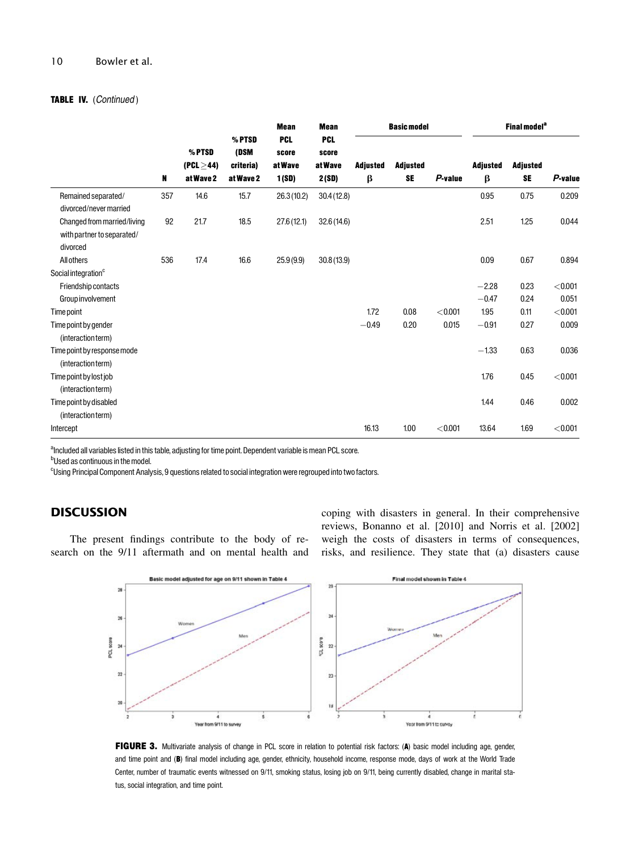## TABLE IV. (Continued)

|                                                                       | N   |                                     |                                          | <b>Mean</b>                              | <b>Mean</b>                             |                      | <b>Basic model</b>    |         |                      | <b>Final model<sup>a</sup></b> |         |
|-----------------------------------------------------------------------|-----|-------------------------------------|------------------------------------------|------------------------------------------|-----------------------------------------|----------------------|-----------------------|---------|----------------------|--------------------------------|---------|
|                                                                       |     | % PTSD<br>(PCL $>$ 44)<br>at Wave 2 | % PTSD<br>(DSM<br>criteria)<br>at Wave 2 | <b>PCL</b><br>score<br>at Wave<br>1 (SD) | <b>PCL</b><br>score<br>at Wave<br>2(SD) | <b>Adjusted</b><br>β | <b>Adjusted</b><br>SE | P value | <b>Adjusted</b><br>β | <b>Adjusted</b><br>SE          | P-value |
| Remained separated/                                                   | 357 | 14.6                                | 15.7                                     | 26.3(10.2)                               | 30.4(12.8)                              |                      |                       |         | 0.95                 | 0.75                           | 0.209   |
| divorced/never married                                                |     |                                     |                                          |                                          |                                         |                      |                       |         |                      |                                |         |
| Changed from married/living<br>with partner to separated/<br>divorced | 92  | 21.7                                | 18.5                                     | 27.6(12.1)                               | 32.6(14.6)                              |                      |                       |         | 2.51                 | 1.25                           | 0.044   |
| <b>All others</b>                                                     | 536 | 17.4                                | 16.6                                     | 25.9(9.9)                                | 30.8(13.9)                              |                      |                       |         | 0.09                 | 0.67                           | 0.894   |
| Social integration <sup>c</sup>                                       |     |                                     |                                          |                                          |                                         |                      |                       |         |                      |                                |         |
| Friendship contacts                                                   |     |                                     |                                          |                                          |                                         |                      |                       |         | $-2.28$              | 0.23                           | < 0.001 |
| Group involvement                                                     |     |                                     |                                          |                                          |                                         |                      |                       |         | $-0.47$              | 0.24                           | 0.051   |
| Time point                                                            |     |                                     |                                          |                                          |                                         | 1.72                 | 0.08                  | < 0.001 | 1.95                 | 0.11                           | < 0.001 |
| Time point by gender<br>(interaction term)                            |     |                                     |                                          |                                          |                                         | $-0.49$              | 0.20                  | 0.015   | $-0.91$              | 0.27                           | 0.009   |
| Time point by response mode<br>(interaction term)                     |     |                                     |                                          |                                          |                                         |                      |                       |         | $-1.33$              | 0.63                           | 0.036   |
| Time point by lost job<br>(interaction term)                          |     |                                     |                                          |                                          |                                         |                      |                       |         | 1.76                 | 0.45                           | < 0.001 |
| Time point by disabled                                                |     |                                     |                                          |                                          |                                         |                      |                       |         | 1.44                 | 0.46                           | 0.002   |
| (interaction term)<br>Intercept                                       |     |                                     |                                          |                                          |                                         | 16.13                | 1.00                  | < 0.001 | 13.64                | 1.69                           | < 0.001 |

<sup>a</sup>Included all variables listed in this table, adjusting for time point. Dependent variable is mean PCL score.

<sup>b</sup>Used as continuous in the model.

<sup>c</sup>Using Principal Component Analysis, 9 questions related to social integration were regrouped into two factors.

## **DISCUSSION**

The present findings contribute to the body of research on the 9/11 aftermath and on mental health and coping with disasters in general. In their comprehensive reviews, Bonanno et al. [2010] and Norris et al. [2002] weigh the costs of disasters in terms of consequences, risks, and resilience. They state that (a) disasters cause



FIGURE 3. Multivariate analysis of change in PCL score in relation to potential risk factors: (A) basic model including age, gender, and time point and (B) final model including age, gender, ethnicity, household income, response mode, days of work at the World Trade Center, number of traumatic events witnessed on 9/11, smoking status, losing job on 9/11, being currently disabled, change in marital status, social integration, and time point.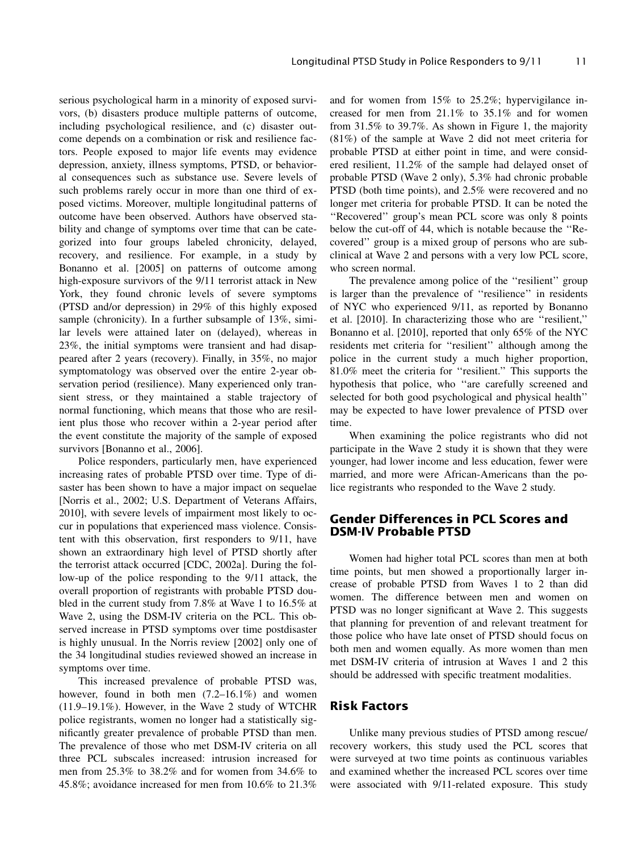serious psychological harm in a minority of exposed survivors, (b) disasters produce multiple patterns of outcome, including psychological resilience, and (c) disaster outcome depends on a combination or risk and resilience factors. People exposed to major life events may evidence depression, anxiety, illness symptoms, PTSD, or behavioral consequences such as substance use. Severe levels of such problems rarely occur in more than one third of exposed victims. Moreover, multiple longitudinal patterns of outcome have been observed. Authors have observed stability and change of symptoms over time that can be categorized into four groups labeled chronicity, delayed, recovery, and resilience. For example, in a study by Bonanno et al. [2005] on patterns of outcome among high-exposure survivors of the 9/11 terrorist attack in New York, they found chronic levels of severe symptoms (PTSD and/or depression) in 29% of this highly exposed sample (chronicity). In a further subsample of 13%, similar levels were attained later on (delayed), whereas in 23%, the initial symptoms were transient and had disappeared after 2 years (recovery). Finally, in 35%, no major symptomatology was observed over the entire 2-year observation period (resilience). Many experienced only transient stress, or they maintained a stable trajectory of normal functioning, which means that those who are resilient plus those who recover within a 2-year period after the event constitute the majority of the sample of exposed survivors [Bonanno et al., 2006].

Police responders, particularly men, have experienced increasing rates of probable PTSD over time. Type of disaster has been shown to have a major impact on sequelae [Norris et al., 2002; U.S. Department of Veterans Affairs, 2010], with severe levels of impairment most likely to occur in populations that experienced mass violence. Consistent with this observation, first responders to 9/11, have shown an extraordinary high level of PTSD shortly after the terrorist attack occurred [CDC, 2002a]. During the follow-up of the police responding to the 9/11 attack, the overall proportion of registrants with probable PTSD doubled in the current study from 7.8% at Wave 1 to 16.5% at Wave 2, using the DSM-IV criteria on the PCL. This observed increase in PTSD symptoms over time postdisaster is highly unusual. In the Norris review [2002] only one of the 34 longitudinal studies reviewed showed an increase in symptoms over time.

This increased prevalence of probable PTSD was, however, found in both men  $(7.2-16.1\%)$  and women (11.9–19.1%). However, in the Wave 2 study of WTCHR police registrants, women no longer had a statistically significantly greater prevalence of probable PTSD than men. The prevalence of those who met DSM-IV criteria on all three PCL subscales increased: intrusion increased for men from 25.3% to 38.2% and for women from 34.6% to 45.8%; avoidance increased for men from 10.6% to 21.3% and for women from 15% to 25.2%; hypervigilance increased for men from 21.1% to 35.1% and for women from 31.5% to 39.7%. As shown in Figure 1, the majority (81%) of the sample at Wave 2 did not meet criteria for probable PTSD at either point in time, and were considered resilient, 11.2% of the sample had delayed onset of probable PTSD (Wave 2 only), 5.3% had chronic probable PTSD (both time points), and 2.5% were recovered and no longer met criteria for probable PTSD. It can be noted the "Recovered" group's mean PCL score was only 8 points below the cut-off of 44, which is notable because the ''Recovered'' group is a mixed group of persons who are subclinical at Wave 2 and persons with a very low PCL score, who screen normal.

The prevalence among police of the ''resilient'' group is larger than the prevalence of ''resilience'' in residents of NYC who experienced 9/11, as reported by Bonanno et al. [2010]. In characterizing those who are ''resilient,'' Bonanno et al. [2010], reported that only 65% of the NYC residents met criteria for ''resilient'' although among the police in the current study a much higher proportion, 81.0% meet the criteria for ''resilient.'' This supports the hypothesis that police, who ''are carefully screened and selected for both good psychological and physical health'' may be expected to have lower prevalence of PTSD over time.

When examining the police registrants who did not participate in the Wave 2 study it is shown that they were younger, had lower income and less education, fewer were married, and more were African-Americans than the police registrants who responded to the Wave 2 study.

## Gender Differences in PCL Scores and DSM-IV Probable PTSD

Women had higher total PCL scores than men at both time points, but men showed a proportionally larger increase of probable PTSD from Waves 1 to 2 than did women. The difference between men and women on PTSD was no longer significant at Wave 2. This suggests that planning for prevention of and relevant treatment for those police who have late onset of PTSD should focus on both men and women equally. As more women than men met DSM-IV criteria of intrusion at Waves 1 and 2 this should be addressed with specific treatment modalities.

#### Risk Factors

Unlike many previous studies of PTSD among rescue/ recovery workers, this study used the PCL scores that were surveyed at two time points as continuous variables and examined whether the increased PCL scores over time were associated with 9/11-related exposure. This study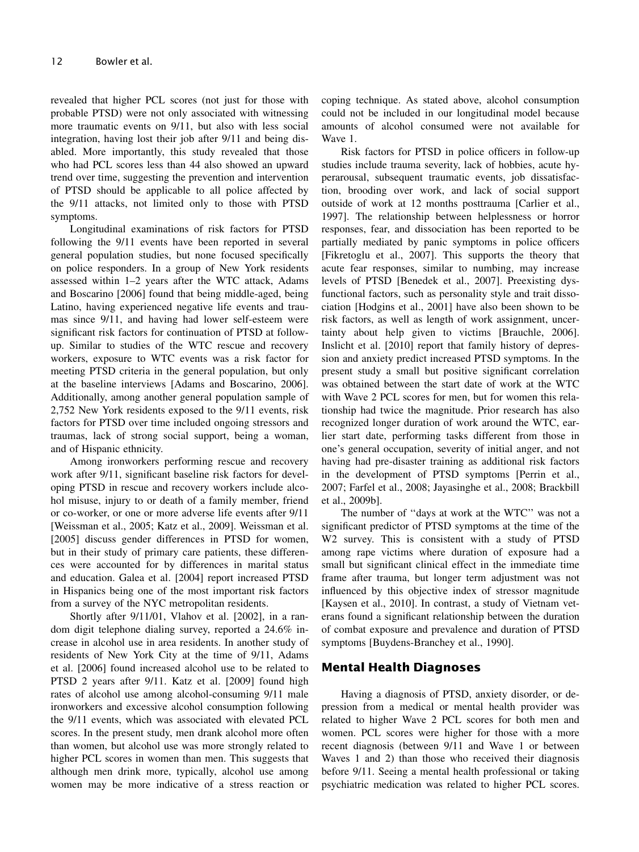revealed that higher PCL scores (not just for those with probable PTSD) were not only associated with witnessing more traumatic events on 9/11, but also with less social integration, having lost their job after 9/11 and being disabled. More importantly, this study revealed that those who had PCL scores less than 44 also showed an upward trend over time, suggesting the prevention and intervention of PTSD should be applicable to all police affected by the 9/11 attacks, not limited only to those with PTSD symptoms.

Longitudinal examinations of risk factors for PTSD following the 9/11 events have been reported in several general population studies, but none focused specifically on police responders. In a group of New York residents assessed within 1–2 years after the WTC attack, Adams and Boscarino [2006] found that being middle-aged, being Latino, having experienced negative life events and traumas since 9/11, and having had lower self-esteem were significant risk factors for continuation of PTSD at followup. Similar to studies of the WTC rescue and recovery workers, exposure to WTC events was a risk factor for meeting PTSD criteria in the general population, but only at the baseline interviews [Adams and Boscarino, 2006]. Additionally, among another general population sample of 2,752 New York residents exposed to the 9/11 events, risk factors for PTSD over time included ongoing stressors and traumas, lack of strong social support, being a woman, and of Hispanic ethnicity.

Among ironworkers performing rescue and recovery work after 9/11, significant baseline risk factors for developing PTSD in rescue and recovery workers include alcohol misuse, injury to or death of a family member, friend or co-worker, or one or more adverse life events after 9/11 [Weissman et al., 2005; Katz et al., 2009]. Weissman et al. [2005] discuss gender differences in PTSD for women, but in their study of primary care patients, these differences were accounted for by differences in marital status and education. Galea et al. [2004] report increased PTSD in Hispanics being one of the most important risk factors from a survey of the NYC metropolitan residents.

Shortly after 9/11/01, Vlahov et al. [2002], in a random digit telephone dialing survey, reported a 24.6% increase in alcohol use in area residents. In another study of residents of New York City at the time of 9/11, Adams et al. [2006] found increased alcohol use to be related to PTSD 2 years after 9/11. Katz et al. [2009] found high rates of alcohol use among alcohol-consuming 9/11 male ironworkers and excessive alcohol consumption following the 9/11 events, which was associated with elevated PCL scores. In the present study, men drank alcohol more often than women, but alcohol use was more strongly related to higher PCL scores in women than men. This suggests that although men drink more, typically, alcohol use among women may be more indicative of a stress reaction or coping technique. As stated above, alcohol consumption could not be included in our longitudinal model because amounts of alcohol consumed were not available for Wave 1.

Risk factors for PTSD in police officers in follow-up studies include trauma severity, lack of hobbies, acute hyperarousal, subsequent traumatic events, job dissatisfaction, brooding over work, and lack of social support outside of work at 12 months posttrauma [Carlier et al., 1997]. The relationship between helplessness or horror responses, fear, and dissociation has been reported to be partially mediated by panic symptoms in police officers [Fikretoglu et al., 2007]. This supports the theory that acute fear responses, similar to numbing, may increase levels of PTSD [Benedek et al., 2007]. Preexisting dysfunctional factors, such as personality style and trait dissociation [Hodgins et al., 2001] have also been shown to be risk factors, as well as length of work assignment, uncertainty about help given to victims [Brauchle, 2006]. Inslicht et al. [2010] report that family history of depression and anxiety predict increased PTSD symptoms. In the present study a small but positive significant correlation was obtained between the start date of work at the WTC with Wave 2 PCL scores for men, but for women this relationship had twice the magnitude. Prior research has also recognized longer duration of work around the WTC, earlier start date, performing tasks different from those in one's general occupation, severity of initial anger, and not having had pre-disaster training as additional risk factors in the development of PTSD symptoms [Perrin et al., 2007; Farfel et al., 2008; Jayasinghe et al., 2008; Brackbill et al., 2009b].

The number of ''days at work at the WTC'' was not a significant predictor of PTSD symptoms at the time of the W2 survey. This is consistent with a study of PTSD among rape victims where duration of exposure had a small but significant clinical effect in the immediate time frame after trauma, but longer term adjustment was not influenced by this objective index of stressor magnitude [Kaysen et al., 2010]. In contrast, a study of Vietnam veterans found a significant relationship between the duration of combat exposure and prevalence and duration of PTSD symptoms [Buydens-Branchey et al., 1990].

#### Mental Health Diagnoses

Having a diagnosis of PTSD, anxiety disorder, or depression from a medical or mental health provider was related to higher Wave 2 PCL scores for both men and women. PCL scores were higher for those with a more recent diagnosis (between 9/11 and Wave 1 or between Waves 1 and 2) than those who received their diagnosis before 9/11. Seeing a mental health professional or taking psychiatric medication was related to higher PCL scores.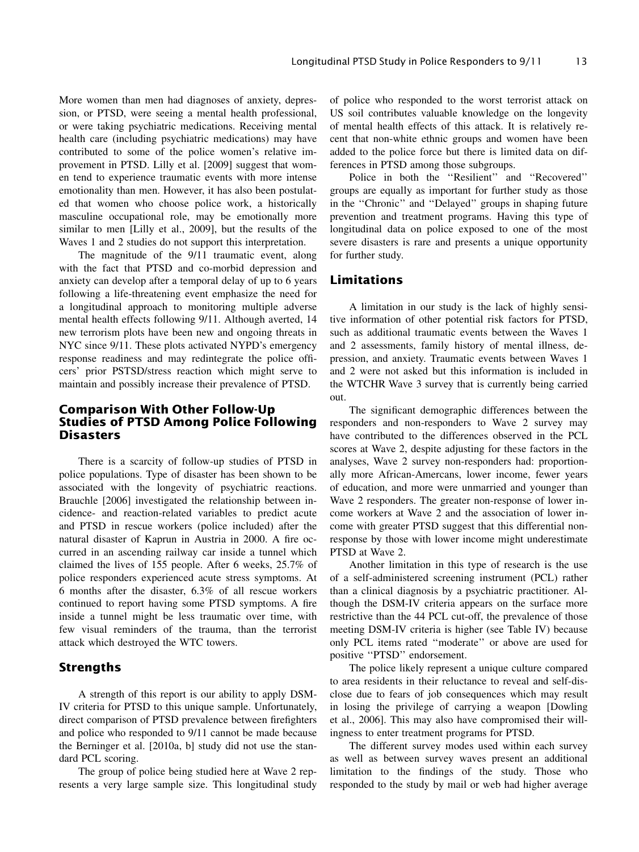More women than men had diagnoses of anxiety, depression, or PTSD, were seeing a mental health professional, or were taking psychiatric medications. Receiving mental health care (including psychiatric medications) may have contributed to some of the police women's relative improvement in PTSD. Lilly et al. [2009] suggest that women tend to experience traumatic events with more intense emotionality than men. However, it has also been postulated that women who choose police work, a historically masculine occupational role, may be emotionally more similar to men [Lilly et al., 2009], but the results of the Waves 1 and 2 studies do not support this interpretation.

The magnitude of the 9/11 traumatic event, along with the fact that PTSD and co-morbid depression and anxiety can develop after a temporal delay of up to 6 years following a life-threatening event emphasize the need for a longitudinal approach to monitoring multiple adverse mental health effects following 9/11. Although averted, 14 new terrorism plots have been new and ongoing threats in NYC since 9/11. These plots activated NYPD's emergency response readiness and may redintegrate the police officers' prior PSTSD/stress reaction which might serve to maintain and possibly increase their prevalence of PTSD.

## Comparison With Other Follow-Up Studies of PTSD Among Police Following Disasters

There is a scarcity of follow-up studies of PTSD in police populations. Type of disaster has been shown to be associated with the longevity of psychiatric reactions. Brauchle [2006] investigated the relationship between incidence- and reaction-related variables to predict acute and PTSD in rescue workers (police included) after the natural disaster of Kaprun in Austria in 2000. A fire occurred in an ascending railway car inside a tunnel which claimed the lives of 155 people. After 6 weeks, 25.7% of police responders experienced acute stress symptoms. At 6 months after the disaster, 6.3% of all rescue workers continued to report having some PTSD symptoms. A fire inside a tunnel might be less traumatic over time, with few visual reminders of the trauma, than the terrorist attack which destroyed the WTC towers.

## Strengths

A strength of this report is our ability to apply DSM-IV criteria for PTSD to this unique sample. Unfortunately, direct comparison of PTSD prevalence between firefighters and police who responded to 9/11 cannot be made because the Berninger et al. [2010a, b] study did not use the standard PCL scoring.

The group of police being studied here at Wave 2 represents a very large sample size. This longitudinal study of police who responded to the worst terrorist attack on US soil contributes valuable knowledge on the longevity of mental health effects of this attack. It is relatively recent that non-white ethnic groups and women have been added to the police force but there is limited data on differences in PTSD among those subgroups.

Police in both the ''Resilient'' and ''Recovered'' groups are equally as important for further study as those in the ''Chronic'' and ''Delayed'' groups in shaping future prevention and treatment programs. Having this type of longitudinal data on police exposed to one of the most severe disasters is rare and presents a unique opportunity for further study.

#### Limitations

A limitation in our study is the lack of highly sensitive information of other potential risk factors for PTSD, such as additional traumatic events between the Waves 1 and 2 assessments, family history of mental illness, depression, and anxiety. Traumatic events between Waves 1 and 2 were not asked but this information is included in the WTCHR Wave 3 survey that is currently being carried out.

The significant demographic differences between the responders and non-responders to Wave 2 survey may have contributed to the differences observed in the PCL scores at Wave 2, despite adjusting for these factors in the analyses, Wave 2 survey non-responders had: proportionally more African-Amercans, lower income, fewer years of education, and more were unmarried and younger than Wave 2 responders. The greater non-response of lower income workers at Wave 2 and the association of lower income with greater PTSD suggest that this differential nonresponse by those with lower income might underestimate PTSD at Wave 2.

Another limitation in this type of research is the use of a self-administered screening instrument (PCL) rather than a clinical diagnosis by a psychiatric practitioner. Although the DSM-IV criteria appears on the surface more restrictive than the 44 PCL cut-off, the prevalence of those meeting DSM-IV criteria is higher (see Table IV) because only PCL items rated ''moderate'' or above are used for positive ''PTSD'' endorsement.

The police likely represent a unique culture compared to area residents in their reluctance to reveal and self-disclose due to fears of job consequences which may result in losing the privilege of carrying a weapon [Dowling et al., 2006]. This may also have compromised their willingness to enter treatment programs for PTSD.

The different survey modes used within each survey as well as between survey waves present an additional limitation to the findings of the study. Those who responded to the study by mail or web had higher average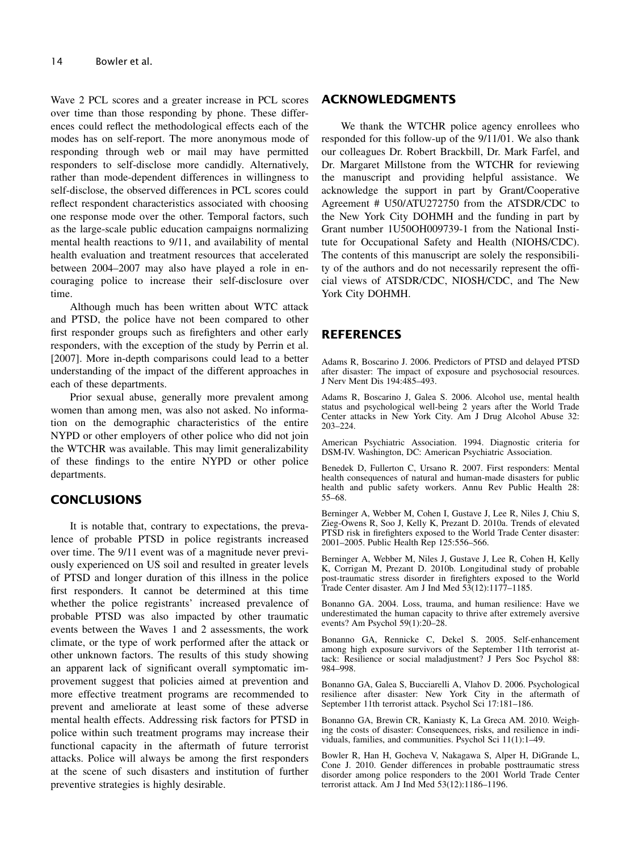Wave 2 PCL scores and a greater increase in PCL scores over time than those responding by phone. These differences could reflect the methodological effects each of the modes has on self-report. The more anonymous mode of responding through web or mail may have permitted responders to self-disclose more candidly. Alternatively, rather than mode-dependent differences in willingness to self-disclose, the observed differences in PCL scores could reflect respondent characteristics associated with choosing one response mode over the other. Temporal factors, such as the large-scale public education campaigns normalizing mental health reactions to 9/11, and availability of mental health evaluation and treatment resources that accelerated between 2004–2007 may also have played a role in encouraging police to increase their self-disclosure over time.

Although much has been written about WTC attack and PTSD, the police have not been compared to other first responder groups such as firefighters and other early responders, with the exception of the study by Perrin et al. [2007]. More in-depth comparisons could lead to a better understanding of the impact of the different approaches in each of these departments.

Prior sexual abuse, generally more prevalent among women than among men, was also not asked. No information on the demographic characteristics of the entire NYPD or other employers of other police who did not join the WTCHR was available. This may limit generalizability of these findings to the entire NYPD or other police departments.

#### **CONCLUSIONS**

It is notable that, contrary to expectations, the prevalence of probable PTSD in police registrants increased over time. The 9/11 event was of a magnitude never previously experienced on US soil and resulted in greater levels of PTSD and longer duration of this illness in the police first responders. It cannot be determined at this time whether the police registrants' increased prevalence of probable PTSD was also impacted by other traumatic events between the Waves 1 and 2 assessments, the work climate, or the type of work performed after the attack or other unknown factors. The results of this study showing an apparent lack of significant overall symptomatic improvement suggest that policies aimed at prevention and more effective treatment programs are recommended to prevent and ameliorate at least some of these adverse mental health effects. Addressing risk factors for PTSD in police within such treatment programs may increase their functional capacity in the aftermath of future terrorist attacks. Police will always be among the first responders at the scene of such disasters and institution of further preventive strategies is highly desirable.

## ACKNOWLEDGMENTS

We thank the WTCHR police agency enrollees who responded for this follow-up of the 9/11/01. We also thank our colleagues Dr. Robert Brackbill, Dr. Mark Farfel, and Dr. Margaret Millstone from the WTCHR for reviewing the manuscript and providing helpful assistance. We acknowledge the support in part by Grant/Cooperative Agreement # U50/ATU272750 from the ATSDR/CDC to the New York City DOHMH and the funding in part by Grant number 1U50OH009739-1 from the National Institute for Occupational Safety and Health (NIOHS/CDC). The contents of this manuscript are solely the responsibility of the authors and do not necessarily represent the official views of ATSDR/CDC, NIOSH/CDC, and The New York City DOHMH.

#### REFERENCES

Adams R, Boscarino J. 2006. Predictors of PTSD and delayed PTSD after disaster: The impact of exposure and psychosocial resources. J Nerv Ment Dis 194:485–493.

Adams R, Boscarino J, Galea S. 2006. Alcohol use, mental health status and psychological well-being 2 years after the World Trade Center attacks in New York City. Am J Drug Alcohol Abuse 32: 203–224.

American Psychiatric Association. 1994. Diagnostic criteria for DSM-IV. Washington, DC: American Psychiatric Association.

Benedek D, Fullerton C, Ursano R. 2007. First responders: Mental health consequences of natural and human-made disasters for public health and public safety workers. Annu Rev Public Health 28: 55–68.

Berninger A, Webber M, Cohen I, Gustave J, Lee R, Niles J, Chiu S, Zieg-Owens R, Soo J, Kelly K, Prezant D. 2010a. Trends of elevated PTSD risk in firefighters exposed to the World Trade Center disaster: 2001–2005. Public Health Rep 125:556–566.

Berninger A, Webber M, Niles J, Gustave J, Lee R, Cohen H, Kelly K, Corrigan M, Prezant D. 2010b. Longitudinal study of probable post-traumatic stress disorder in firefighters exposed to the World Trade Center disaster. Am J Ind Med 53(12):1177–1185.

Bonanno GA. 2004. Loss, trauma, and human resilience: Have we underestimated the human capacity to thrive after extremely aversive events? Am Psychol 59(1):20–28.

Bonanno GA, Rennicke C, Dekel S. 2005. Self-enhancement among high exposure survivors of the September 11th terrorist attack: Resilience or social maladjustment? J Pers Soc Psychol 88: 984–998.

Bonanno GA, Galea S, Bucciarelli A, Vlahov D. 2006. Psychological resilience after disaster: New York City in the aftermath of September 11th terrorist attack. Psychol Sci 17:181–186.

Bonanno GA, Brewin CR, Kaniasty K, La Greca AM. 2010. Weighing the costs of disaster: Consequences, risks, and resilience in individuals, families, and communities. Psychol Sci 11(1):1–49.

Bowler R, Han H, Gocheva V, Nakagawa S, Alper H, DiGrande L, Cone J. 2010. Gender differences in probable posttraumatic stress disorder among police responders to the 2001 World Trade Center terrorist attack. Am J Ind Med 53(12):1186–1196.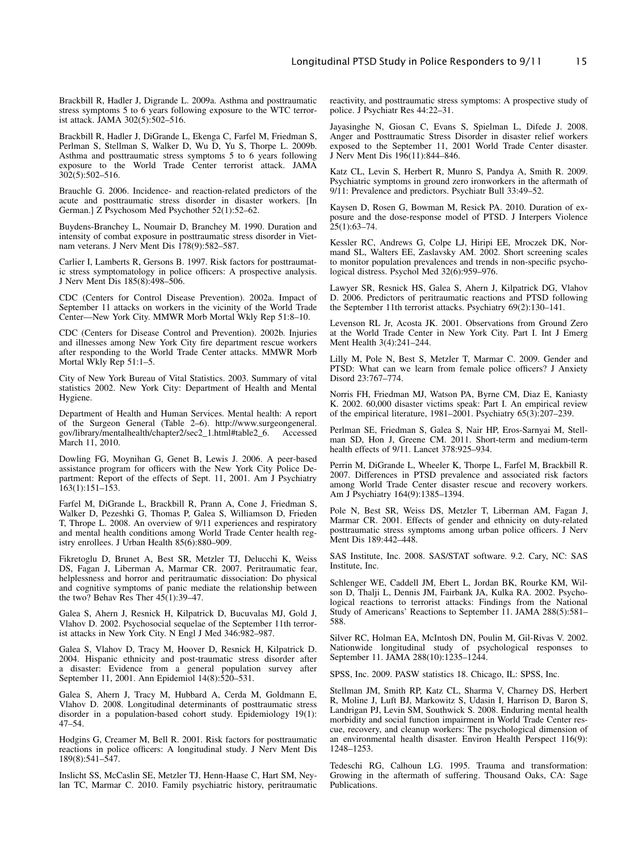Brackbill R, Hadler J, Digrande L. 2009a. Asthma and posttraumatic stress symptoms 5 to 6 years following exposure to the WTC terrorist attack. JAMA 302(5):502–516.

Brackbill R, Hadler J, DiGrande L, Ekenga C, Farfel M, Friedman S, Perlman S, Stellman S, Walker D, Wu D, Yu S, Thorpe L. 2009b. Asthma and posttraumatic stress symptoms 5 to 6 years following exposure to the World Trade Center terrorist attack. JAMA 302(5):502–516.

Brauchle G. 2006. Incidence- and reaction-related predictors of the acute and posttraumatic stress disorder in disaster workers. [In German.] Z Psychosom Med Psychother 52(1):52–62.

Buydens-Branchey L, Noumair D, Branchey M. 1990. Duration and intensity of combat exposure in posttraumatic stress disorder in Vietnam veterans. J Nerv Ment Dis 178(9):582–587.

Carlier I, Lamberts R, Gersons B. 1997. Risk factors for posttraumatic stress symptomatology in police officers: A prospective analysis. J Nerv Ment Dis 185(8):498–506.

CDC (Centers for Control Disease Prevention). 2002a. Impact of September 11 attacks on workers in the vicinity of the World Trade Center—New York City. MMWR Morb Mortal Wkly Rep 51:8–10.

CDC (Centers for Disease Control and Prevention). 2002b. Injuries and illnesses among New York City fire department rescue workers after responding to the World Trade Center attacks. MMWR Morb Mortal Wkly Rep 51:1–5.

City of New York Bureau of Vital Statistics. 2003. Summary of vital statistics 2002. New York City: Department of Health and Mental Hygiene.

Department of Health and Human Services. Mental health: A report of the Surgeon General (Table 2–6). http://www.surgeongeneral. gov/library/mentalhealth/chapter2/sec2\_1.html#table2\_6. Accessed March 11, 2010.

Dowling FG, Moynihan G, Genet B, Lewis J. 2006. A peer-based assistance program for officers with the New York City Police Department: Report of the effects of Sept. 11, 2001. Am J Psychiatry  $\overline{1}$ 63(1):151–153.

Farfel M, DiGrande L, Brackbill R, Prann A, Cone J, Friedman S, Walker D, Pezeshki G, Thomas P, Galea S, Williamson D, Frieden T, Thrope L. 2008. An overview of 9/11 experiences and respiratory and mental health conditions among World Trade Center health registry enrollees. J Urban Health 85(6):880–909.

Fikretoglu D, Brunet A, Best SR, Metzler TJ, Delucchi K, Weiss DS, Fagan J, Liberman A, Marmar CR. 2007. Peritraumatic fear, helplessness and horror and peritraumatic dissociation: Do physical and cognitive symptoms of panic mediate the relationship between the two? Behav Res Ther 45(1):39–47.

Galea S, Ahern J, Resnick H, Kilpatrick D, Bucuvalas MJ, Gold J, Vlahov D. 2002. Psychosocial sequelae of the September 11th terrorist attacks in New York City. N Engl J Med 346:982–987.

Galea S, Vlahov D, Tracy M, Hoover D, Resnick H, Kilpatrick D. 2004. Hispanic ethnicity and post-traumatic stress disorder after a disaster: Evidence from a general population survey after September 11, 2001. Ann Epidemiol 14(8):520–531.

Galea S, Ahern J, Tracy M, Hubbard A, Cerda M, Goldmann E, Vlahov D. 2008. Longitudinal determinants of posttraumatic stress disorder in a population-based cohort study. Epidemiology 19(1): 47–54.

Hodgins G, Creamer M, Bell R. 2001. Risk factors for posttraumatic reactions in police officers: A longitudinal study. J Nerv Ment Dis 189(8):541–547.

Inslicht SS, McCaslin SE, Metzler TJ, Henn-Haase C, Hart SM, Neylan TC, Marmar C. 2010. Family psychiatric history, peritraumatic reactivity, and posttraumatic stress symptoms: A prospective study of police. J Psychiatr Res 44:22–31.

Jayasinghe N, Giosan C, Evans S, Spielman L, Difede J. 2008. Anger and Posttraumatic Stress Disorder in disaster relief workers exposed to the September 11, 2001 World Trade Center disaster. J Nerv Ment Dis 196(11):844–846.

Katz CL, Levin S, Herbert R, Munro S, Pandya A, Smith R. 2009. Psychiatric symptoms in ground zero ironworkers in the aftermath of 9/11: Prevalence and predictors. Psychiatr Bull 33:49–52.

Kaysen D, Rosen G, Bowman M, Resick PA. 2010. Duration of exposure and the dose-response model of PTSD. J Interpers Violence 25(1):63–74.

Kessler RC, Andrews G, Colpe LJ, Hiripi EE, Mroczek DK, Normand SL, Walters EE, Zaslavsky AM. 2002. Short screening scales to monitor population prevalences and trends in non-specific psychological distress. Psychol Med 32(6):959–976.

Lawyer SR, Resnick HS, Galea S, Ahern J, Kilpatrick DG, Vlahov D. 2006. Predictors of peritraumatic reactions and PTSD following the September 11th terrorist attacks. Psychiatry 69(2):130–141.

Levenson RL Jr, Acosta JK. 2001. Observations from Ground Zero at the World Trade Center in New York City. Part I. Int J Emerg Ment Health 3(4):241–244.

Lilly M, Pole N, Best S, Metzler T, Marmar C. 2009. Gender and PTSD: What can we learn from female police officers? J Anxiety Disord 23:767–774.

Norris FH, Friedman MJ, Watson PA, Byrne CM, Diaz E, Kaniasty K. 2002. 60,000 disaster victims speak: Part I. An empirical review of the empirical literature, 1981–2001. Psychiatry 65(3):207–239.

Perlman SE, Friedman S, Galea S, Nair HP, Eros-Sarnyai M, Stellman SD, Hon J, Greene CM. 2011. Short-term and medium-term health effects of 9/11. Lancet 378:925–934.

Perrin M, DiGrande L, Wheeler K, Thorpe L, Farfel M, Brackbill R. 2007. Differences in PTSD prevalence and associated risk factors among World Trade Center disaster rescue and recovery workers. Am J Psychiatry 164(9):1385–1394.

Pole N, Best SR, Weiss DS, Metzler T, Liberman AM, Fagan J, Marmar CR. 2001. Effects of gender and ethnicity on duty-related posttraumatic stress symptoms among urban police officers. J Nerv Ment Dis 189:442–448.

SAS Institute, Inc. 2008. SAS/STAT software. 9.2. Cary, NC: SAS Institute, Inc.

Schlenger WE, Caddell JM, Ebert L, Jordan BK, Rourke KM, Wilson D, Thalji L, Dennis JM, Fairbank JA, Kulka RA. 2002. Psychological reactions to terrorist attacks: Findings from the National Study of Americans' Reactions to September 11. JAMA 288(5):581– 588.

Silver RC, Holman EA, McIntosh DN, Poulin M, Gil-Rivas V. 2002. Nationwide longitudinal study of psychological responses to September 11. JAMA 288(10):1235–1244.

SPSS, Inc. 2009. PASW statistics 18. Chicago, IL: SPSS, Inc.

Stellman JM, Smith RP, Katz CL, Sharma V, Charney DS, Herbert R, Moline J, Luft BJ, Markowitz S, Udasin I, Harrison D, Baron S, Landrigan PJ, Levin SM, Southwick S. 2008. Enduring mental health morbidity and social function impairment in World Trade Center rescue, recovery, and cleanup workers: The psychological dimension of an environmental health disaster. Environ Health Perspect 116(9): 1248–1253.

Tedeschi RG, Calhoun LG. 1995. Trauma and transformation: Growing in the aftermath of suffering. Thousand Oaks, CA: Sage Publications.